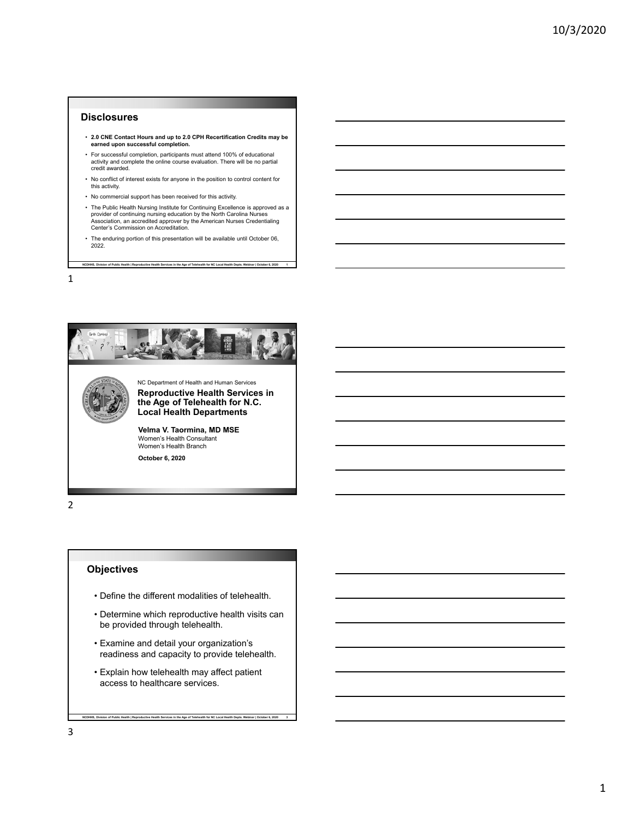#### **Disclosures**

- **2.0 CNE Contact Hours and up to 2.0 CPH Recertification Credits may be earned upon successful completion.**
- For successful completion, participants must attend 100% of educational activity and complete the online course evaluation. There will be no partial credit awarded.
- No conflict of interest exists for anyone in the position to control content for this activity.
- No commercial support has been received for this activity.
- The Public Health Nursing Institute for Continuing Excellence is approved as a provider of continuing nursing education by the North Carolina Nurses Association, an accredited approver by the American Nurses Credentialing Center's Commission on Accreditation.
- **NCDHHS, Division of Public Health | Reproductive Health Services in the Age of Telehealth for NC Local Health Depts. Webinar | October 6, 2020 1** • The enduring portion of this presentation will be available until October 06, 2022.

1



2

## **Objectives**

- Define the different modalities of telehealth.
- Determine which reproductive health visits can be provided through telehealth.
- Examine and detail your organization's readiness and capacity to provide telehealth.
- Explain how telehealth may affect patient access to healthcare services.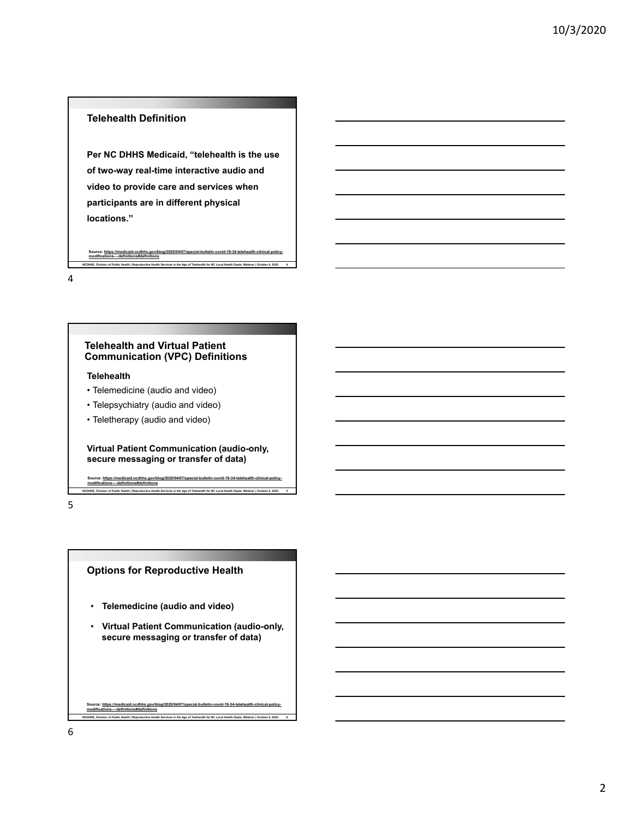## **Telehealth Definition**

**Per NC DHHS Medicaid, "telehealth is the use of two-way real-time interactive audio and video to provide care and services when participants are in different physical locations."**

**NCDHHS, Division of Public Health | Reproductive Health Services in the Age of Telehealth for NC Local Health Depts. Webinar | October 6, 2020 4** Source: https: **modifications-–-definitions#definitions**

4

#### **Telehealth and Virtual Patient Communication (VPC) Definitions**

#### **Telehealth**

**modifications-–-definitions#definitions**

- Telemedicine (audio and video)
- Telepsychiatry (audio and video)
- Teletherapy (audio and video)

**Virtual Patient Communication (audio-only, secure messaging or transfer of data)**

**NCD 1998** Incompart of Pealth | Reproductive Health Services in the Age of Telehealth for NC Local Health Depts. Webinar | October 6, 2020

Source: https://medicaid.ncdhhs.gov/blog/2020/04/07/special-bulletin-covid-19-34-telehealth-clinical-policy-

5

## **Options for Reproductive Health**

- **Telemedicine (audio and video)**
- **Virtual Patient Communication (audio-only, secure messaging or transfer of data)**

**NCDHHS, Division of Public Health | Reproductive Health Services in the Age of Telehealth for NC Local Health Depts. Webinar | October 6, 2020 6 Source: https://medicaid.ncdhhs.gov/blog/2020/04/07/special-bulletin-covid-19-34-telehealth-clinical-policymodifications-–-definitions#definitions**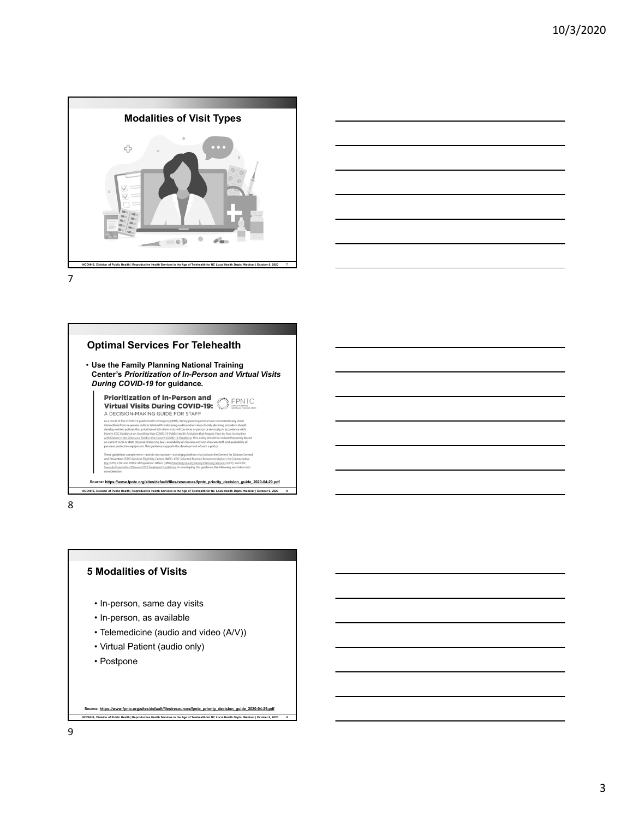



7



8

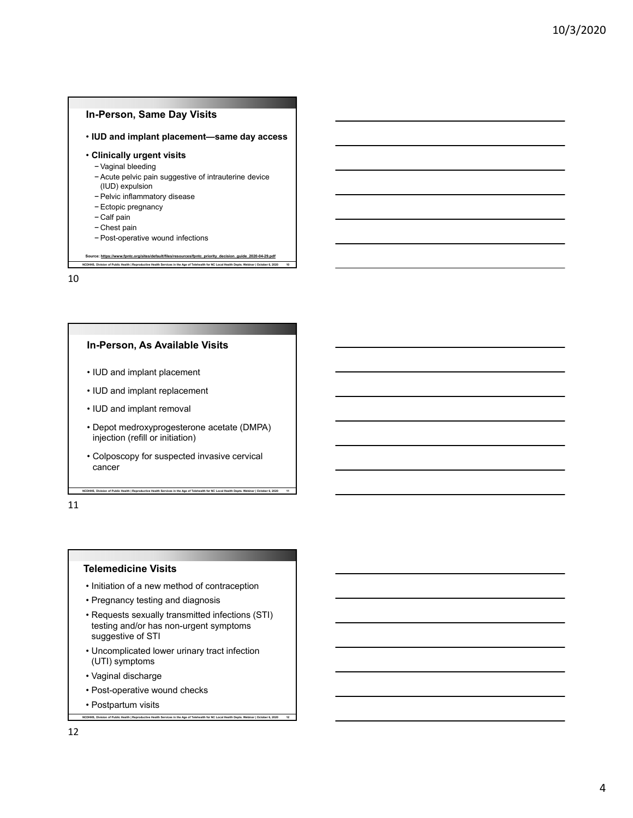## **In-Person, Same Day Visits**

• **IUD and implant placement—same day access** 

#### • **Clinically urgent visits**

− Vaginal bleeding

− Acute pelvic pain suggestive of intrauterine device

**NCDHHS, Division of Public Health | Reproductive Health Services in the Age of Telehealth for NC Local Health Depts. Webinar | October 6, 2020 10**

- (IUD) expulsion
- − Pelvic inflammatory disease − Ectopic pregnancy
- 
- − Calf pain

.<br>strce: <u>https://www.fo</u>

- − Chest pain
- − Post-operative wound infections

10

#### **In-Person, As Available Visits**

- IUD and implant placement
- IUD and implant replacement
- IUD and implant removal
- Depot medroxyprogesterone acetate (DMPA) injection (refill or initiation)
- Colposcopy for suspected invasive cervical cancer

**NCDHHS, Division of Public Health | Reproductive Health Services in the Age of Telehealth for NC Local Health Depts. Webinar | October 6, 2020 11**

11

#### **Telemedicine Visits**

- Initiation of a new method of contraception
- Pregnancy testing and diagnosis
- Requests sexually transmitted infections (STI) testing and/or has non-urgent symptoms suggestive of STI

- Uncomplicated lower urinary tract infection (UTI) symptoms
- Vaginal discharge
- Post-operative wound checks
- Postpartum visits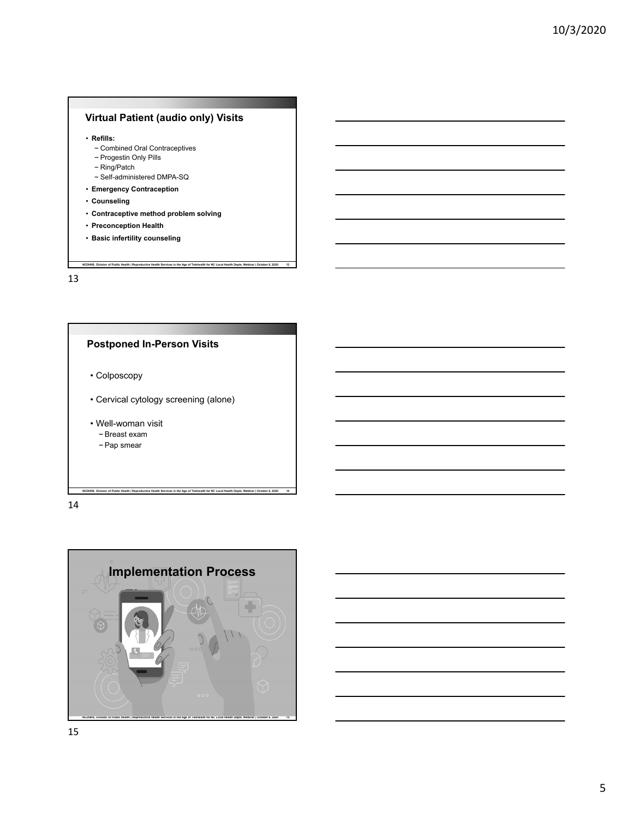## **Virtual Patient (audio only) Visits**

- **Refills:** 
	- − Combined Oral Contraceptives
	- − Progestin Only Pills
	- − Ring/Patch
	- − Self-administered DMPA-SQ
- **Emergency Contraception**
- **Counseling**
- **Contraceptive method problem solving**
- **Preconception Health**
- **Basic infertility counseling**

13



14

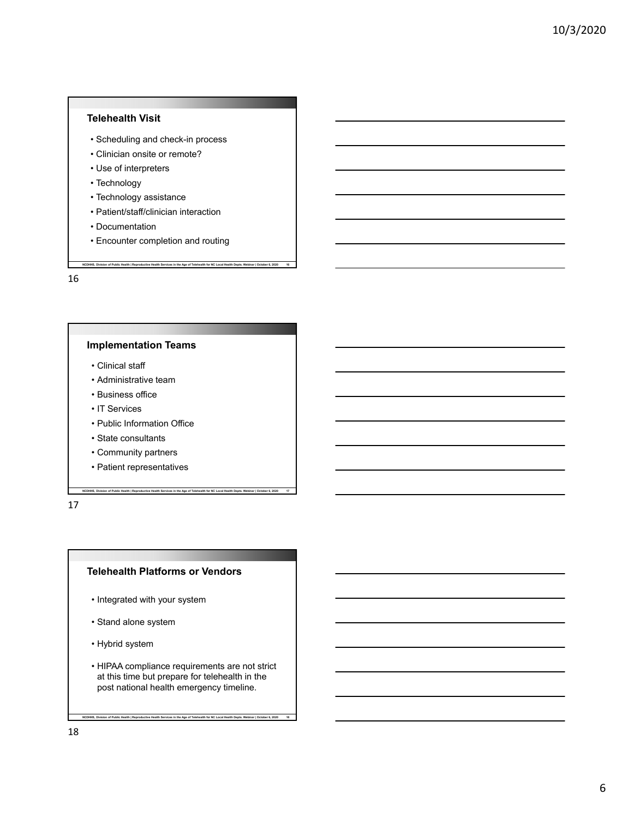## **Telehealth Visit**

- Scheduling and check-in process
- Clinician onsite or remote?
- Use of interpreters
- Technology
- Technology assistance
- Patient/staff/clinician interaction
- Documentation
- Encounter completion and routing

**NCDHHS, Division of Public Health | Reproductive Health Services in the Age of Telehealth for NC Local Health Depts. Webinar | October 6, 2020 16**

16

## **Implementation Teams**

- Clinical staff
- Administrative team
- Business office
- IT Services
- Public Information Office
- State consultants
- Community partners
- Patient representatives

17

#### **Telehealth Platforms or Vendors**

**NCDHHS, Division of Public Health | Reproductive Health Services in the Age of Telehealth for NC Local Health Depts. Webinar | October 6, 2020 17**

- Integrated with your system
- Stand alone system
- Hybrid system
- HIPAA compliance requirements are not strict at this time but prepare for telehealth in the post national health emergency timeline.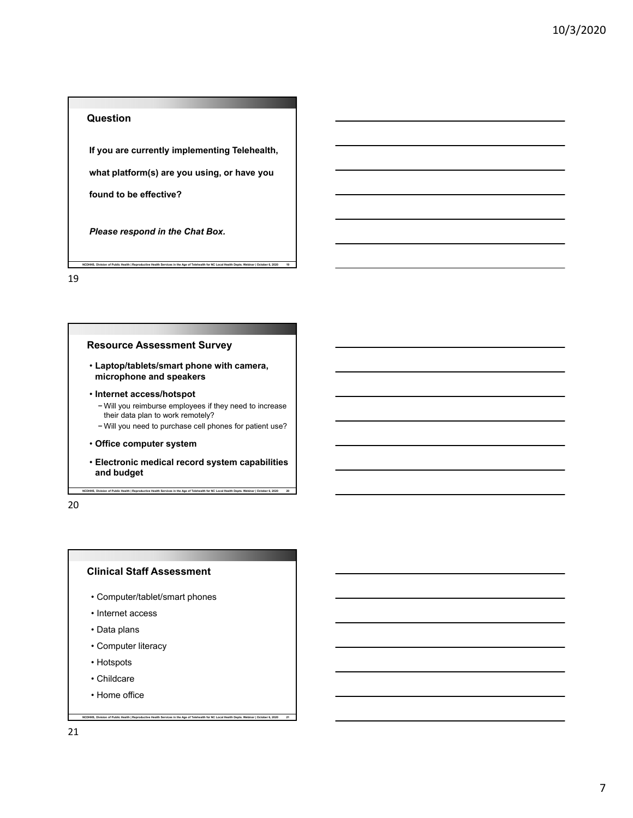## **Question**

**If you are currently implementing Telehealth,**

**NCDHHS, Division of Public Health | Reproductive Health Services in the Age of Telehealth for NC Local Health Depts. Webinar | October 6, 2020 19**

**what platform(s) are you using, or have you** 

**found to be effective?**

*Please respond in the Chat Box.*

19

## **Resource Assessment Survey**

- **Laptop/tablets/smart phone with camera, microphone and speakers**
- **Internet access/hotspot**
	- − Will you reimburse employees if they need to increase their data plan to work remotely?
	- − Will you need to purchase cell phones for patient use?
- **Office computer system**
- **Electronic medical record system capabilities and budget**

**NCDHHS, Division of Public Health | Reproductive Health Services in the Age of Telehealth for NC Local Health Depts. Webinar | October 6, 2020 20**

**NCDHHS, Division of Public Health | Reproductive Health Services in the Age of Telehealth for NC Local Health Depts. Webinar | October 6, 2020 21**

20

## **Clinical Staff Assessment**

- Computer/tablet/smart phones
- Internet access
- Data plans
- Computer literacy
- Hotspots
- Childcare
- Home office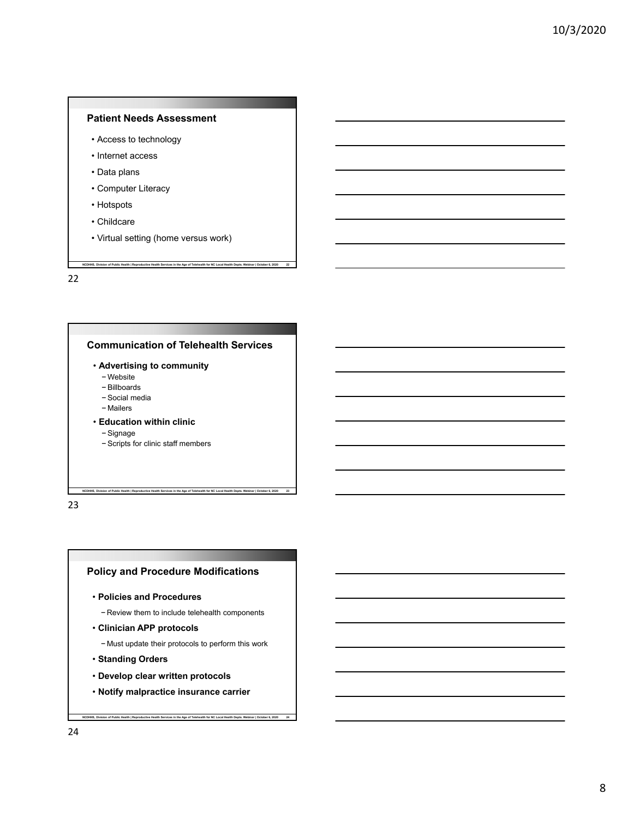## **Patient Needs Assessment**

- Access to technology
- Internet access
- Data plans
- Computer Literacy
- Hotspots
- Childcare
- Virtual setting (home versus work)

**NCDHHS, Division of Public Health | Reproductive Health Services in the Age of Telehealth for NC Local Health Depts. Webinar | October 6, 2020 22**

22



23

## **Policy and Procedure Modifications**

- **Policies and Procedures**
	- − Review them to include telehealth components
- **Clinician APP protocols**
	- − Must update their protocols to perform this work
- **Standing Orders**
- **Develop clear written protocols**
- **Notify malpractice insurance carrier**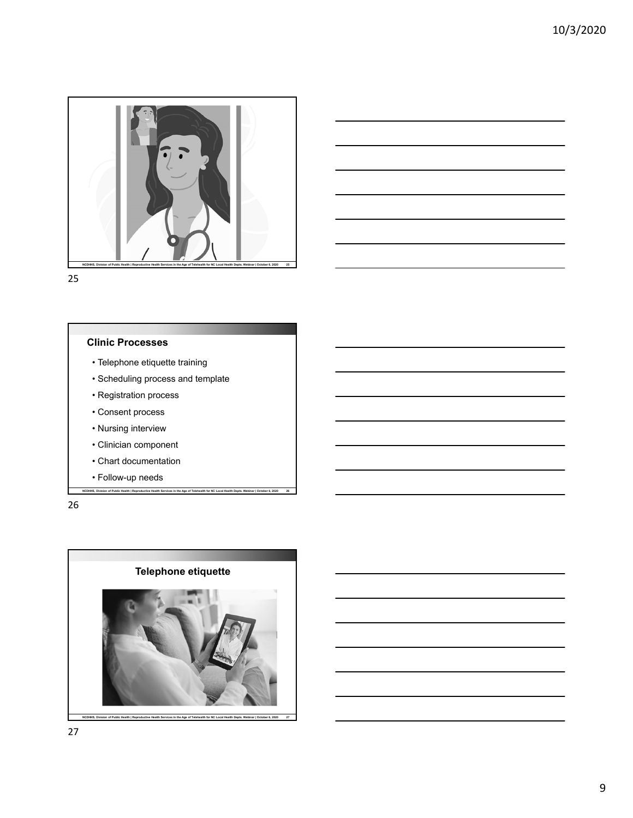



25

## **Clinic Processes**

- Telephone etiquette training
- Scheduling process and template
- Registration process
- Consent process
- Nursing interview
- Clinician component
- Chart documentation
- Follow-up needs

26

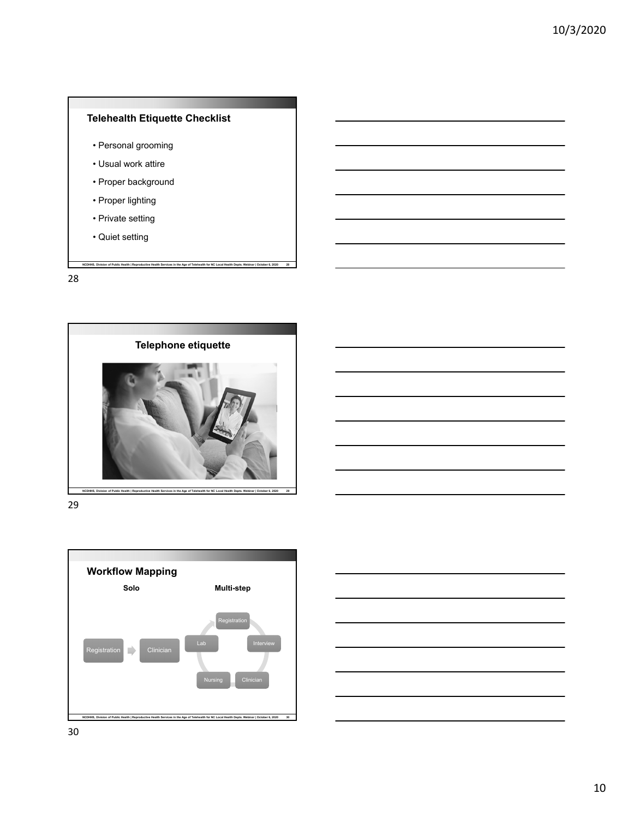

- Personal grooming
- Usual work attire
- Proper background
- Proper lighting
- Private setting
- Quiet setting

28







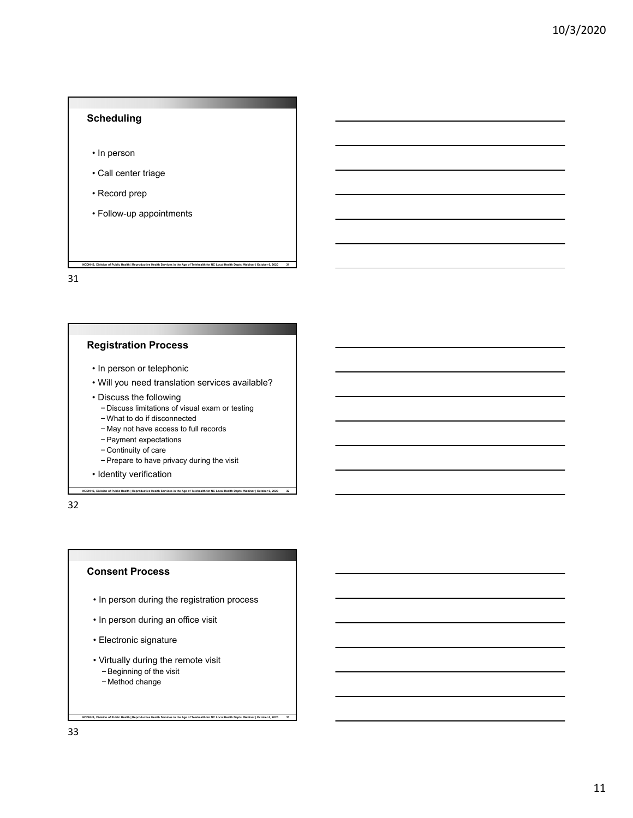# **NCDHHS, Division of Public Health | Reproductive Health Services in the Age of Telehealth for NC Local Health Depts. Webinar | October 6, 2020 31 Scheduling** • In person • Call center triage • Record prep • Follow-up appointments 31

## **Registration Process**

- In person or telephonic
- Will you need translation services available?
- Discuss the following
	- − Discuss limitations of visual exam or testing
	- − What to do if disconnected
	- − May not have access to full records
	- − Payment expectations
	- − Continuity of care
	- − Prepare to have privacy during the visit

**NCDHHS, Division of Public Health | Reproductive Health Services in the Age of Telehealth for NC Local Health Depts. Webinar | October 6, 2020 32**

• Identity verification

#### 32

## **Consent Process**

• In person during the registration process

- In person during an office visit
- Electronic signature
- Virtually during the remote visit − Beginning of the visit
	- − Method change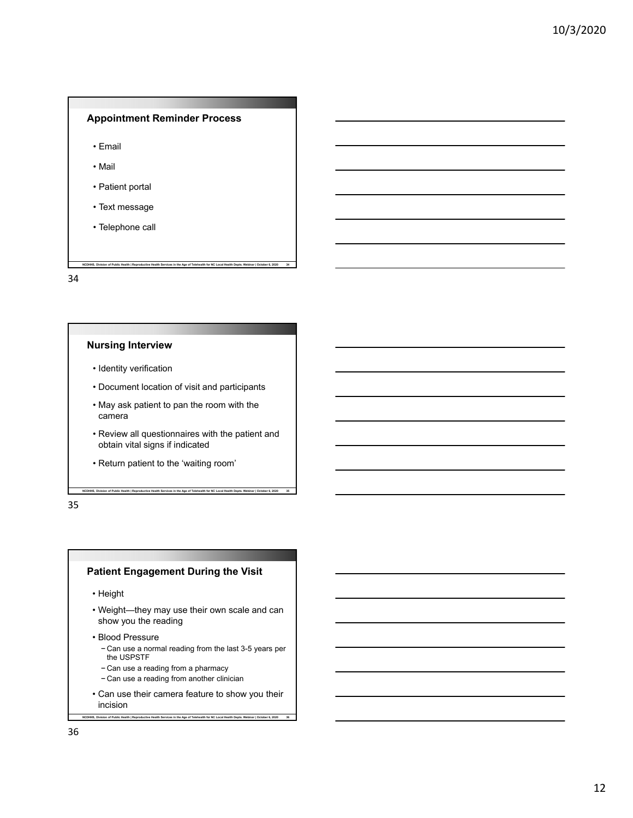## **Appointment Reminder Process**

- Email
- Mail
- Patient portal
- Text message
- Telephone call

34

## **Nursing Interview**

- Identity verification
- Document location of visit and participants

**NCDHHS, Division of Public Health | Reproductive Health Services in the Age of Telehealth for NC Local Health Depts. Webinar | October 6, 2020 34**

- May ask patient to pan the room with the camera
- Review all questionnaires with the patient and obtain vital signs if indicated

**NCDHHS, Division of Public Health | Reproductive Health Services in the Age of Telehealth for NC Local Health Depts. Webinar | October 6, 2020 35**

• Return patient to the 'waiting room'

35

## **Patient Engagement During the Visit**

• Height

- Weight—they may use their own scale and can show you the reading
- Blood Pressure
	- − Can use a normal reading from the last 3-5 years per the USPSTF
	- − Can use a reading from a pharmacy
	- − Can use a reading from another clinician
- Can use their camera feature to show you their incision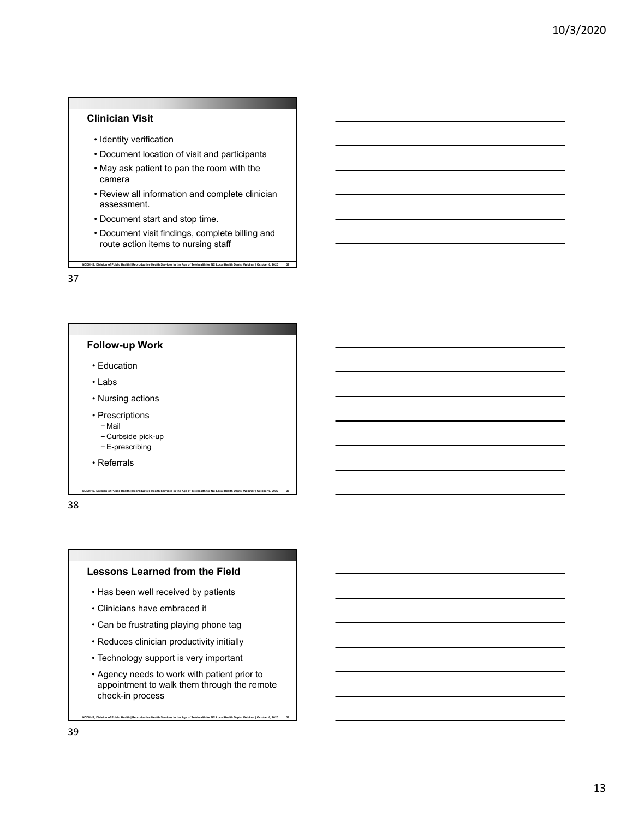## **Clinician Visit**

- Identity verification
- Document location of visit and participants
- May ask patient to pan the room with the camera
- Review all information and complete clinician assessment.
- Document start and stop time.
- Document visit findings, complete billing and route action items to nursing staff

**NCDHHS, Division of Public Health | Reproductive Health Services in the Age of Telehealth for NC Local Health Depts. Webinar | October 6, 2020 37**

37



- 
- − Curbside pick-up
- − E-prescribing
- Referrals

38

#### **Lessons Learned from the Field**

**NCDHHS, Division of Public Health | Reproductive Health Services in the Age of Telehealth for NC Local Health Depts. Webinar | October 6, 2020 38**

- Has been well received by patients
- Clinicians have embraced it
- Can be frustrating playing phone tag
- Reduces clinician productivity initially
- Technology support is very important
- Agency needs to work with patient prior to appointment to walk them through the remote check-in process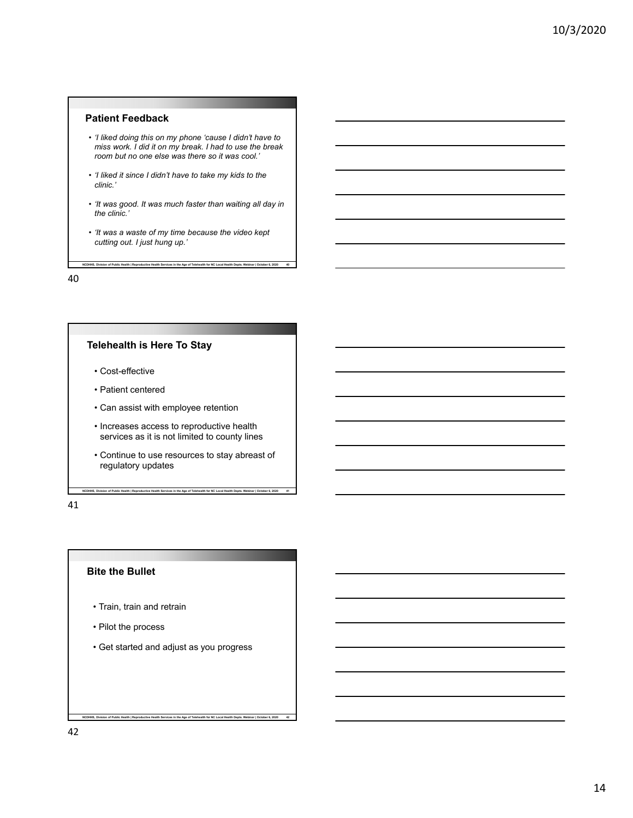## **Patient Feedback**

- *'I liked doing this on my phone 'cause I didn't have to miss work. I did it on my break. I had to use the break room but no one else was there so it was cool.'*
- *'I liked it since I didn't have to take my kids to the clinic.'*
- *'It was good. It was much faster than waiting all day in the clinic.'*

**NCDHHS, Division of Public Health | Reproductive Health Services in the Age of Telehealth for NC Local Health Depts. Webinar | October 6, 2020 40**

• *'It was a waste of my time because the video kept cutting out. I just hung up.'*

40

## **Telehealth is Here To Stay**

- Cost-effective
- Patient centered
- Can assist with employee retention
- Increases access to reproductive health services as it is not limited to county lines
- Continue to use resources to stay abreast of regulatory updates

**NCDHHS, Division of Public Health | Reproductive Health Services in the Age of Telehealth for NC Local Health Depts. Webinar | October 6, 2020 41**

41

#### **Bite the Bullet**

- Train, train and retrain
- Pilot the process
- Get started and adjust as you progress

**NCDHHS, Division of Public Health | Reproductive Health Services in the Age of Telehealth for NC Local Health Depts. Webinar | October 6, 2020 42**

42